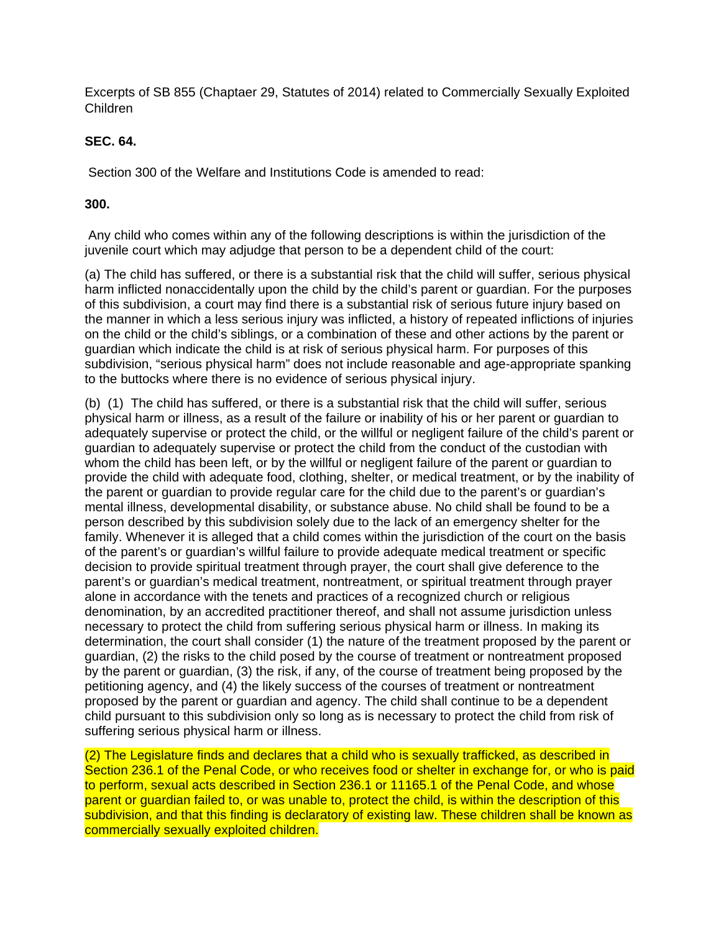Excerpts of SB 855 (Chaptaer 29, Statutes of 2014) related to Commercially Sexually Exploited Children

## **SEC. 64.**

Section 300 of the Welfare and Institutions Code is amended to read:

### **300.**

 Any child who comes within any of the following descriptions is within the jurisdiction of the juvenile court which may adjudge that person to be a dependent child of the court:

(a) The child has suffered, or there is a substantial risk that the child will suffer, serious physical harm inflicted nonaccidentally upon the child by the child's parent or guardian. For the purposes of this subdivision, a court may find there is a substantial risk of serious future injury based on the manner in which a less serious injury was inflicted, a history of repeated inflictions of injuries on the child or the child's siblings, or a combination of these and other actions by the parent or guardian which indicate the child is at risk of serious physical harm. For purposes of this subdivision, "serious physical harm" does not include reasonable and age-appropriate spanking to the buttocks where there is no evidence of serious physical injury.

(b) (1) The child has suffered, or there is a substantial risk that the child will suffer, serious physical harm or illness, as a result of the failure or inability of his or her parent or guardian to adequately supervise or protect the child, or the willful or negligent failure of the child's parent or guardian to adequately supervise or protect the child from the conduct of the custodian with whom the child has been left, or by the willful or negligent failure of the parent or guardian to provide the child with adequate food, clothing, shelter, or medical treatment, or by the inability of the parent or guardian to provide regular care for the child due to the parent's or guardian's mental illness, developmental disability, or substance abuse. No child shall be found to be a person described by this subdivision solely due to the lack of an emergency shelter for the family. Whenever it is alleged that a child comes within the jurisdiction of the court on the basis of the parent's or guardian's willful failure to provide adequate medical treatment or specific decision to provide spiritual treatment through prayer, the court shall give deference to the parent's or guardian's medical treatment, nontreatment, or spiritual treatment through prayer alone in accordance with the tenets and practices of a recognized church or religious denomination, by an accredited practitioner thereof, and shall not assume jurisdiction unless necessary to protect the child from suffering serious physical harm or illness. In making its determination, the court shall consider (1) the nature of the treatment proposed by the parent or guardian, (2) the risks to the child posed by the course of treatment or nontreatment proposed by the parent or guardian, (3) the risk, if any, of the course of treatment being proposed by the petitioning agency, and (4) the likely success of the courses of treatment or nontreatment proposed by the parent or guardian and agency. The child shall continue to be a dependent child pursuant to this subdivision only so long as is necessary to protect the child from risk of suffering serious physical harm or illness.

(2) The Legislature finds and declares that a child who is sexually trafficked, as described in Section 236.1 of the Penal Code, or who receives food or shelter in exchange for, or who is paid to perform, sexual acts described in Section 236.1 or 11165.1 of the Penal Code, and whose parent or guardian failed to, or was unable to, protect the child, is within the description of this subdivision, and that this finding is declaratory of existing law. These children shall be known as commercially sexually exploited children.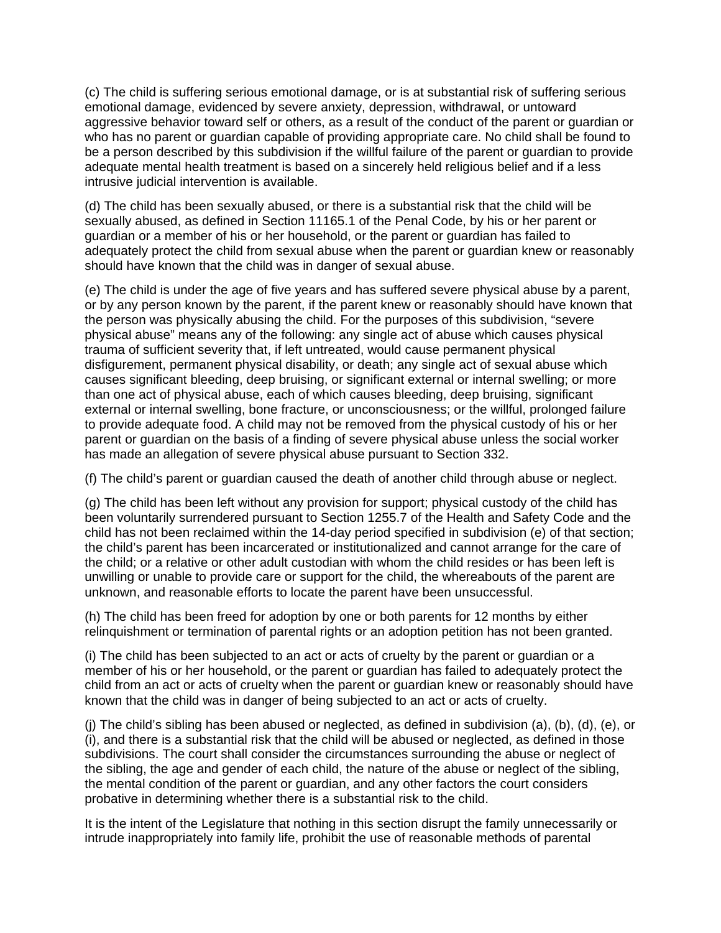(c) The child is suffering serious emotional damage, or is at substantial risk of suffering serious emotional damage, evidenced by severe anxiety, depression, withdrawal, or untoward aggressive behavior toward self or others, as a result of the conduct of the parent or guardian or who has no parent or guardian capable of providing appropriate care. No child shall be found to be a person described by this subdivision if the willful failure of the parent or guardian to provide adequate mental health treatment is based on a sincerely held religious belief and if a less intrusive judicial intervention is available.

(d) The child has been sexually abused, or there is a substantial risk that the child will be sexually abused, as defined in Section 11165.1 of the Penal Code, by his or her parent or guardian or a member of his or her household, or the parent or guardian has failed to adequately protect the child from sexual abuse when the parent or guardian knew or reasonably should have known that the child was in danger of sexual abuse.

(e) The child is under the age of five years and has suffered severe physical abuse by a parent, or by any person known by the parent, if the parent knew or reasonably should have known that the person was physically abusing the child. For the purposes of this subdivision, "severe physical abuse" means any of the following: any single act of abuse which causes physical trauma of sufficient severity that, if left untreated, would cause permanent physical disfigurement, permanent physical disability, or death; any single act of sexual abuse which causes significant bleeding, deep bruising, or significant external or internal swelling; or more than one act of physical abuse, each of which causes bleeding, deep bruising, significant external or internal swelling, bone fracture, or unconsciousness; or the willful, prolonged failure to provide adequate food. A child may not be removed from the physical custody of his or her parent or guardian on the basis of a finding of severe physical abuse unless the social worker has made an allegation of severe physical abuse pursuant to Section 332.

(f) The child's parent or guardian caused the death of another child through abuse or neglect.

(g) The child has been left without any provision for support; physical custody of the child has been voluntarily surrendered pursuant to Section 1255.7 of the Health and Safety Code and the child has not been reclaimed within the 14-day period specified in subdivision (e) of that section; the child's parent has been incarcerated or institutionalized and cannot arrange for the care of the child; or a relative or other adult custodian with whom the child resides or has been left is unwilling or unable to provide care or support for the child, the whereabouts of the parent are unknown, and reasonable efforts to locate the parent have been unsuccessful.

(h) The child has been freed for adoption by one or both parents for 12 months by either relinquishment or termination of parental rights or an adoption petition has not been granted.

(i) The child has been subjected to an act or acts of cruelty by the parent or guardian or a member of his or her household, or the parent or guardian has failed to adequately protect the child from an act or acts of cruelty when the parent or guardian knew or reasonably should have known that the child was in danger of being subjected to an act or acts of cruelty.

(j) The child's sibling has been abused or neglected, as defined in subdivision (a), (b), (d), (e), or (i), and there is a substantial risk that the child will be abused or neglected, as defined in those subdivisions. The court shall consider the circumstances surrounding the abuse or neglect of the sibling, the age and gender of each child, the nature of the abuse or neglect of the sibling, the mental condition of the parent or guardian, and any other factors the court considers probative in determining whether there is a substantial risk to the child.

It is the intent of the Legislature that nothing in this section disrupt the family unnecessarily or intrude inappropriately into family life, prohibit the use of reasonable methods of parental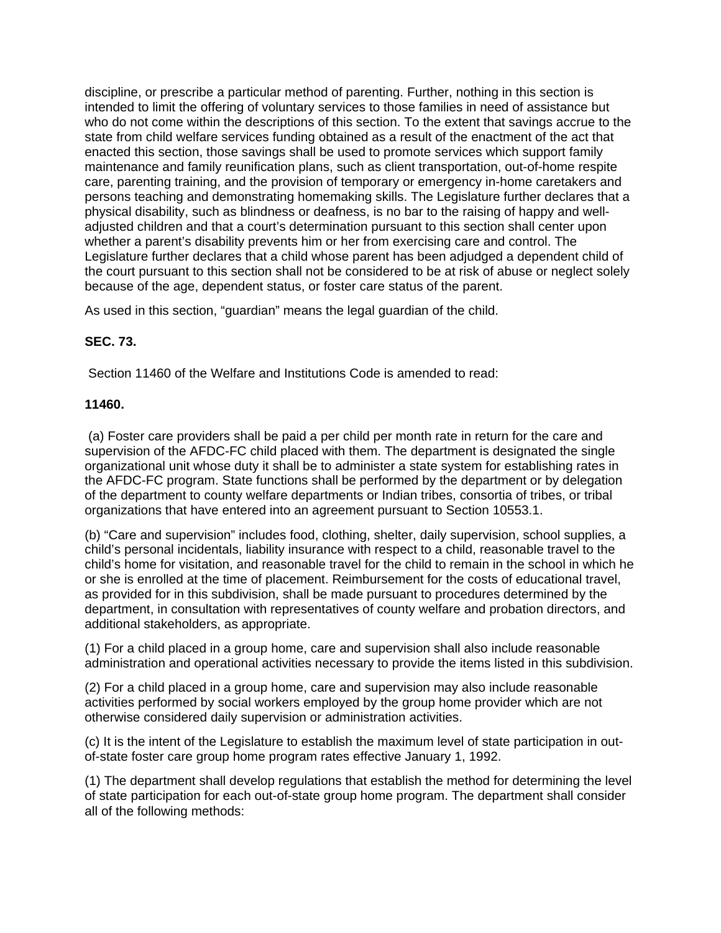discipline, or prescribe a particular method of parenting. Further, nothing in this section is intended to limit the offering of voluntary services to those families in need of assistance but who do not come within the descriptions of this section. To the extent that savings accrue to the state from child welfare services funding obtained as a result of the enactment of the act that enacted this section, those savings shall be used to promote services which support family maintenance and family reunification plans, such as client transportation, out-of-home respite care, parenting training, and the provision of temporary or emergency in-home caretakers and persons teaching and demonstrating homemaking skills. The Legislature further declares that a physical disability, such as blindness or deafness, is no bar to the raising of happy and welladjusted children and that a court's determination pursuant to this section shall center upon whether a parent's disability prevents him or her from exercising care and control. The Legislature further declares that a child whose parent has been adjudged a dependent child of the court pursuant to this section shall not be considered to be at risk of abuse or neglect solely because of the age, dependent status, or foster care status of the parent.

As used in this section, "guardian" means the legal guardian of the child.

### **SEC. 73.**

Section 11460 of the Welfare and Institutions Code is amended to read:

#### **11460.**

 (a) Foster care providers shall be paid a per child per month rate in return for the care and supervision of the AFDC-FC child placed with them. The department is designated the single organizational unit whose duty it shall be to administer a state system for establishing rates in the AFDC-FC program. State functions shall be performed by the department or by delegation of the department to county welfare departments or Indian tribes, consortia of tribes, or tribal organizations that have entered into an agreement pursuant to Section 10553.1.

(b) "Care and supervision" includes food, clothing, shelter, daily supervision, school supplies, a child's personal incidentals, liability insurance with respect to a child, reasonable travel to the child's home for visitation, and reasonable travel for the child to remain in the school in which he or she is enrolled at the time of placement. Reimbursement for the costs of educational travel, as provided for in this subdivision, shall be made pursuant to procedures determined by the department, in consultation with representatives of county welfare and probation directors, and additional stakeholders, as appropriate.

(1) For a child placed in a group home, care and supervision shall also include reasonable administration and operational activities necessary to provide the items listed in this subdivision.

(2) For a child placed in a group home, care and supervision may also include reasonable activities performed by social workers employed by the group home provider which are not otherwise considered daily supervision or administration activities.

(c) It is the intent of the Legislature to establish the maximum level of state participation in outof-state foster care group home program rates effective January 1, 1992.

(1) The department shall develop regulations that establish the method for determining the level of state participation for each out-of-state group home program. The department shall consider all of the following methods: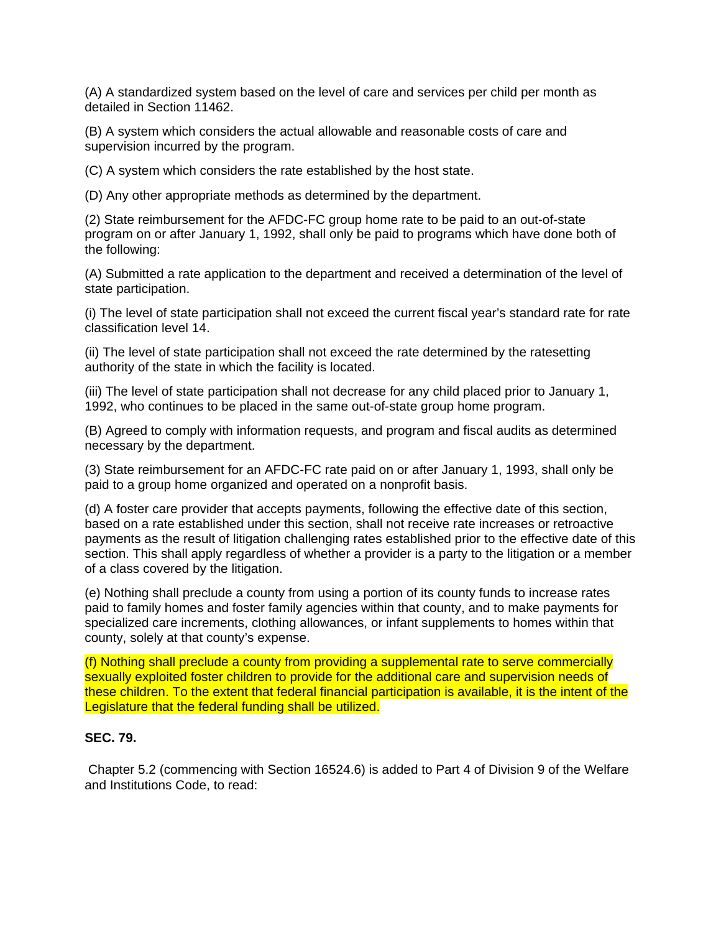(A) A standardized system based on the level of care and services per child per month as detailed in Section 11462.

(B) A system which considers the actual allowable and reasonable costs of care and supervision incurred by the program.

(C) A system which considers the rate established by the host state.

(D) Any other appropriate methods as determined by the department.

(2) State reimbursement for the AFDC-FC group home rate to be paid to an out-of-state program on or after January 1, 1992, shall only be paid to programs which have done both of the following:

(A) Submitted a rate application to the department and received a determination of the level of state participation.

(i) The level of state participation shall not exceed the current fiscal year's standard rate for rate classification level 14.

(ii) The level of state participation shall not exceed the rate determined by the ratesetting authority of the state in which the facility is located.

(iii) The level of state participation shall not decrease for any child placed prior to January 1, 1992, who continues to be placed in the same out-of-state group home program.

(B) Agreed to comply with information requests, and program and fiscal audits as determined necessary by the department.

(3) State reimbursement for an AFDC-FC rate paid on or after January 1, 1993, shall only be paid to a group home organized and operated on a nonprofit basis.

(d) A foster care provider that accepts payments, following the effective date of this section, based on a rate established under this section, shall not receive rate increases or retroactive payments as the result of litigation challenging rates established prior to the effective date of this section. This shall apply regardless of whether a provider is a party to the litigation or a member of a class covered by the litigation.

(e) Nothing shall preclude a county from using a portion of its county funds to increase rates paid to family homes and foster family agencies within that county, and to make payments for specialized care increments, clothing allowances, or infant supplements to homes within that county, solely at that county's expense.

(f) Nothing shall preclude a county from providing a supplemental rate to serve commercially sexually exploited foster children to provide for the additional care and supervision needs of these children. To the extent that federal financial participation is available, it is the intent of the Legislature that the federal funding shall be utilized.

### **SEC. 79.**

 Chapter 5.2 (commencing with Section 16524.6) is added to Part 4 of Division 9 of the Welfare and Institutions Code, to read: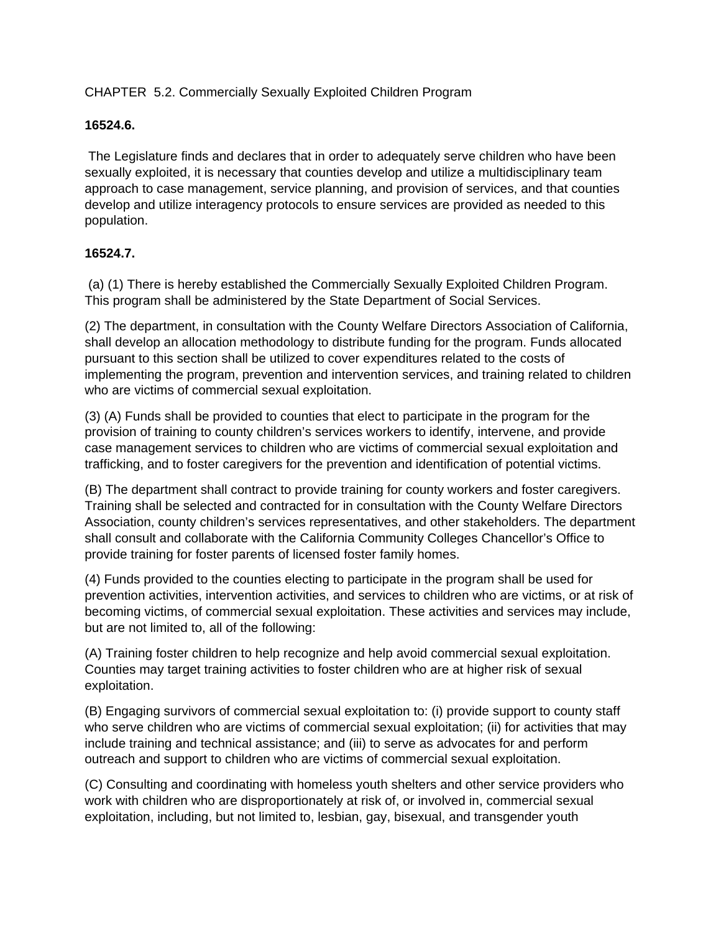# CHAPTER 5.2. Commercially Sexually Exploited Children Program

## **16524.6.**

 The Legislature finds and declares that in order to adequately serve children who have been sexually exploited, it is necessary that counties develop and utilize a multidisciplinary team approach to case management, service planning, and provision of services, and that counties develop and utilize interagency protocols to ensure services are provided as needed to this population.

# **16524.7.**

 (a) (1) There is hereby established the Commercially Sexually Exploited Children Program. This program shall be administered by the State Department of Social Services.

(2) The department, in consultation with the County Welfare Directors Association of California, shall develop an allocation methodology to distribute funding for the program. Funds allocated pursuant to this section shall be utilized to cover expenditures related to the costs of implementing the program, prevention and intervention services, and training related to children who are victims of commercial sexual exploitation.

(3) (A) Funds shall be provided to counties that elect to participate in the program for the provision of training to county children's services workers to identify, intervene, and provide case management services to children who are victims of commercial sexual exploitation and trafficking, and to foster caregivers for the prevention and identification of potential victims.

(B) The department shall contract to provide training for county workers and foster caregivers. Training shall be selected and contracted for in consultation with the County Welfare Directors Association, county children's services representatives, and other stakeholders. The department shall consult and collaborate with the California Community Colleges Chancellor's Office to provide training for foster parents of licensed foster family homes.

(4) Funds provided to the counties electing to participate in the program shall be used for prevention activities, intervention activities, and services to children who are victims, or at risk of becoming victims, of commercial sexual exploitation. These activities and services may include, but are not limited to, all of the following:

(A) Training foster children to help recognize and help avoid commercial sexual exploitation. Counties may target training activities to foster children who are at higher risk of sexual exploitation.

(B) Engaging survivors of commercial sexual exploitation to: (i) provide support to county staff who serve children who are victims of commercial sexual exploitation; (ii) for activities that may include training and technical assistance; and (iii) to serve as advocates for and perform outreach and support to children who are victims of commercial sexual exploitation.

(C) Consulting and coordinating with homeless youth shelters and other service providers who work with children who are disproportionately at risk of, or involved in, commercial sexual exploitation, including, but not limited to, lesbian, gay, bisexual, and transgender youth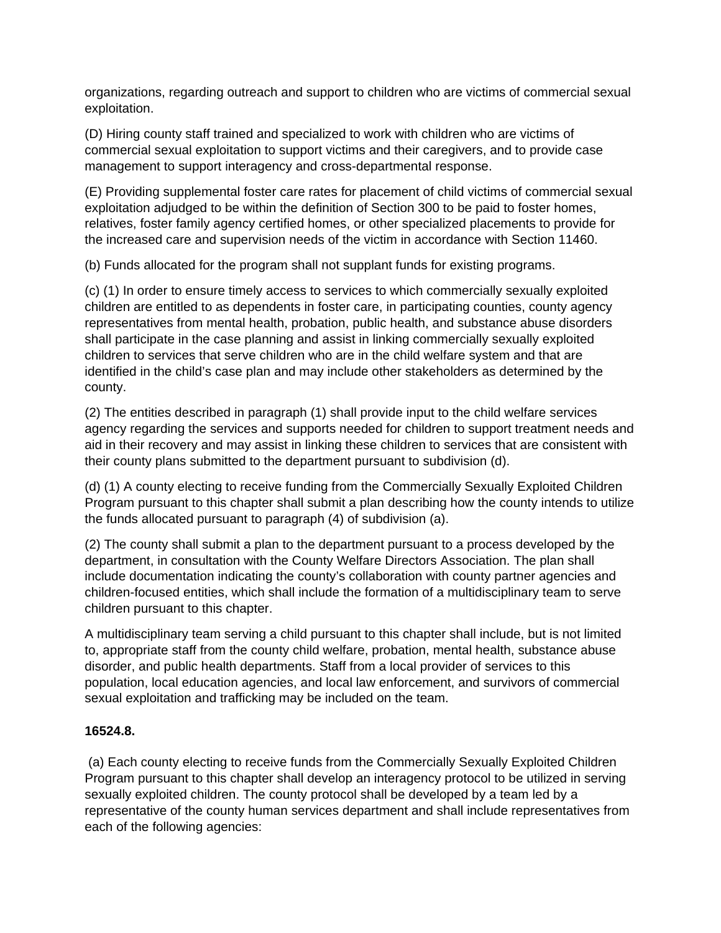organizations, regarding outreach and support to children who are victims of commercial sexual exploitation.

(D) Hiring county staff trained and specialized to work with children who are victims of commercial sexual exploitation to support victims and their caregivers, and to provide case management to support interagency and cross-departmental response.

(E) Providing supplemental foster care rates for placement of child victims of commercial sexual exploitation adjudged to be within the definition of Section 300 to be paid to foster homes, relatives, foster family agency certified homes, or other specialized placements to provide for the increased care and supervision needs of the victim in accordance with Section 11460.

(b) Funds allocated for the program shall not supplant funds for existing programs.

(c) (1) In order to ensure timely access to services to which commercially sexually exploited children are entitled to as dependents in foster care, in participating counties, county agency representatives from mental health, probation, public health, and substance abuse disorders shall participate in the case planning and assist in linking commercially sexually exploited children to services that serve children who are in the child welfare system and that are identified in the child's case plan and may include other stakeholders as determined by the county.

(2) The entities described in paragraph (1) shall provide input to the child welfare services agency regarding the services and supports needed for children to support treatment needs and aid in their recovery and may assist in linking these children to services that are consistent with their county plans submitted to the department pursuant to subdivision (d).

(d) (1) A county electing to receive funding from the Commercially Sexually Exploited Children Program pursuant to this chapter shall submit a plan describing how the county intends to utilize the funds allocated pursuant to paragraph (4) of subdivision (a).

(2) The county shall submit a plan to the department pursuant to a process developed by the department, in consultation with the County Welfare Directors Association. The plan shall include documentation indicating the county's collaboration with county partner agencies and children-focused entities, which shall include the formation of a multidisciplinary team to serve children pursuant to this chapter.

A multidisciplinary team serving a child pursuant to this chapter shall include, but is not limited to, appropriate staff from the county child welfare, probation, mental health, substance abuse disorder, and public health departments. Staff from a local provider of services to this population, local education agencies, and local law enforcement, and survivors of commercial sexual exploitation and trafficking may be included on the team.

### **16524.8.**

 (a) Each county electing to receive funds from the Commercially Sexually Exploited Children Program pursuant to this chapter shall develop an interagency protocol to be utilized in serving sexually exploited children. The county protocol shall be developed by a team led by a representative of the county human services department and shall include representatives from each of the following agencies: